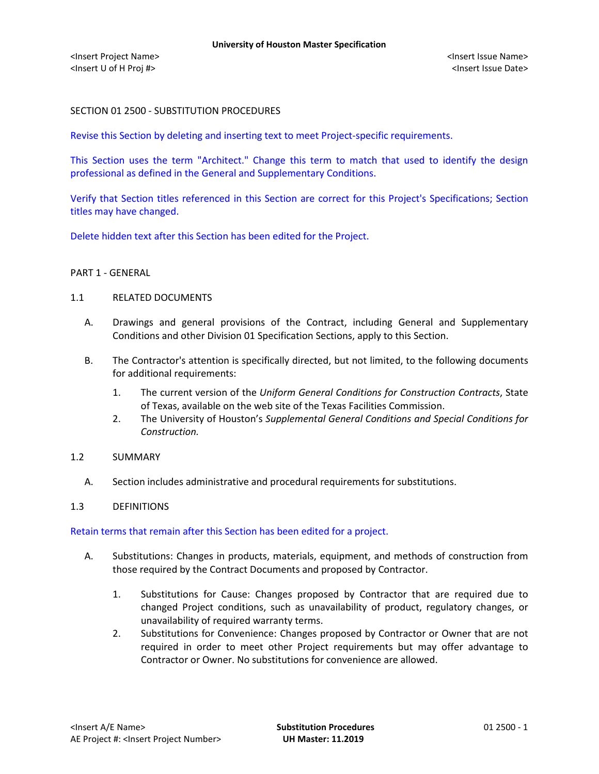### SECTION 01 2500 - SUBSTITUTION PROCEDURES

Revise this Section by deleting and inserting text to meet Project-specific requirements.

This Section uses the term "Architect." Change this term to match that used to identify the design professional as defined in the General and Supplementary Conditions.

Verify that Section titles referenced in this Section are correct for this Project's Specifications; Section titles may have changed.

Delete hidden text after this Section has been edited for the Project.

#### PART 1 - GENERAL

#### 1.1 RELATED DOCUMENTS

- A. Drawings and general provisions of the Contract, including General and Supplementary Conditions and other Division 01 Specification Sections, apply to this Section.
- B. The Contractor's attention is specifically directed, but not limited, to the following documents for additional requirements:
	- 1. The current version of the *Uniform General Conditions for Construction Contracts*, State of Texas, available on the web site of the Texas Facilities Commission.
	- 2. The University of Houston's *Supplemental General Conditions and Special Conditions for Construction.*
- 1.2 SUMMARY
	- A. Section includes administrative and procedural requirements for substitutions.

#### 1.3 DEFINITIONS

Retain terms that remain after this Section has been edited for a project.

- A. Substitutions: Changes in products, materials, equipment, and methods of construction from those required by the Contract Documents and proposed by Contractor.
	- 1. Substitutions for Cause: Changes proposed by Contractor that are required due to changed Project conditions, such as unavailability of product, regulatory changes, or unavailability of required warranty terms.
	- 2. Substitutions for Convenience: Changes proposed by Contractor or Owner that are not required in order to meet other Project requirements but may offer advantage to Contractor or Owner. No substitutions for convenience are allowed.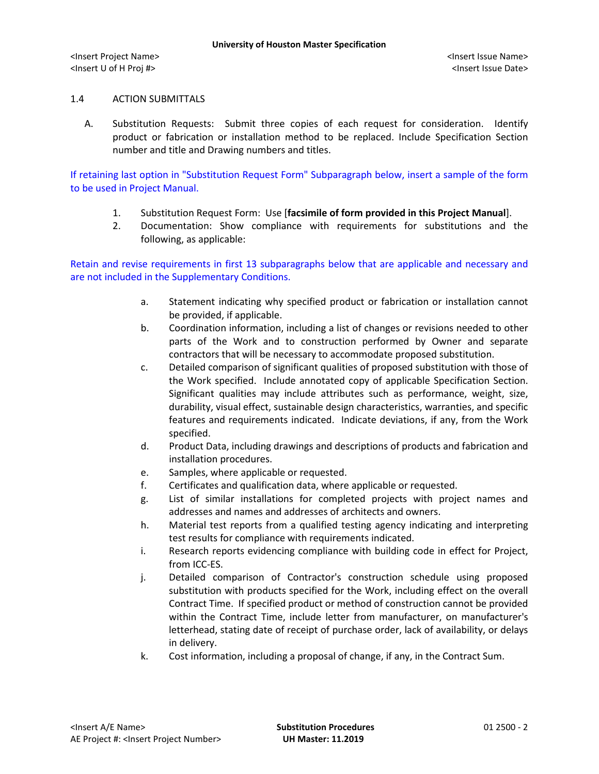# 1.4 ACTION SUBMITTALS

A. Substitution Requests: Submit three copies of each request for consideration. Identify product or fabrication or installation method to be replaced. Include Specification Section number and title and Drawing numbers and titles.

If retaining last option in "Substitution Request Form" Subparagraph below, insert a sample of the form to be used in Project Manual.

- 1. Substitution Request Form: Use [**facsimile of form provided in this Project Manual**].
- 2. Documentation: Show compliance with requirements for substitutions and the following, as applicable:

Retain and revise requirements in first 13 subparagraphs below that are applicable and necessary and are not included in the Supplementary Conditions.

- a. Statement indicating why specified product or fabrication or installation cannot be provided, if applicable.
- b. Coordination information, including a list of changes or revisions needed to other parts of the Work and to construction performed by Owner and separate contractors that will be necessary to accommodate proposed substitution.
- c. Detailed comparison of significant qualities of proposed substitution with those of the Work specified. Include annotated copy of applicable Specification Section. Significant qualities may include attributes such as performance, weight, size, durability, visual effect, sustainable design characteristics, warranties, and specific features and requirements indicated. Indicate deviations, if any, from the Work specified.
- d. Product Data, including drawings and descriptions of products and fabrication and installation procedures.
- e. Samples, where applicable or requested.
- f. Certificates and qualification data, where applicable or requested.
- g. List of similar installations for completed projects with project names and addresses and names and addresses of architects and owners.
- h. Material test reports from a qualified testing agency indicating and interpreting test results for compliance with requirements indicated.
- i. Research reports evidencing compliance with building code in effect for Project, from ICC-ES.
- j. Detailed comparison of Contractor's construction schedule using proposed substitution with products specified for the Work, including effect on the overall Contract Time. If specified product or method of construction cannot be provided within the Contract Time, include letter from manufacturer, on manufacturer's letterhead, stating date of receipt of purchase order, lack of availability, or delays in delivery.
- k. Cost information, including a proposal of change, if any, in the Contract Sum.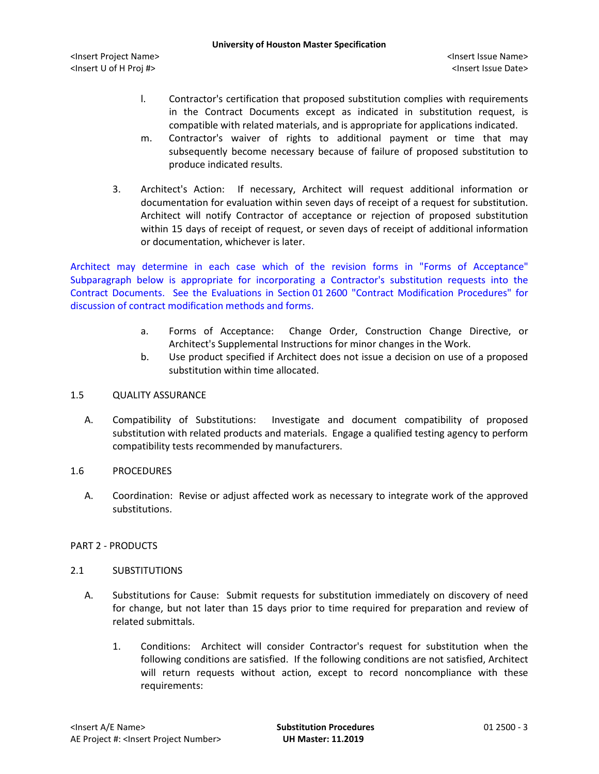- l. Contractor's certification that proposed substitution complies with requirements in the Contract Documents except as indicated in substitution request, is compatible with related materials, and is appropriate for applications indicated.
- m. Contractor's waiver of rights to additional payment or time that may subsequently become necessary because of failure of proposed substitution to produce indicated results.
- 3. Architect's Action: If necessary, Architect will request additional information or documentation for evaluation within seven days of receipt of a request for substitution. Architect will notify Contractor of acceptance or rejection of proposed substitution within 15 days of receipt of request, or seven days of receipt of additional information or documentation, whichever is later.

Architect may determine in each case which of the revision forms in "Forms of Acceptance" Subparagraph below is appropriate for incorporating a Contractor's substitution requests into the Contract Documents. See the Evaluations in Section 01 2600 "Contract Modification Procedures" for discussion of contract modification methods and forms.

- a. Forms of Acceptance: Change Order, Construction Change Directive, or Architect's Supplemental Instructions for minor changes in the Work.
- b. Use product specified if Architect does not issue a decision on use of a proposed substitution within time allocated.

# 1.5 QUALITY ASSURANCE

A. Compatibility of Substitutions: Investigate and document compatibility of proposed substitution with related products and materials. Engage a qualified testing agency to perform compatibility tests recommended by manufacturers.

# 1.6 PROCEDURES

A. Coordination: Revise or adjust affected work as necessary to integrate work of the approved substitutions.

# PART 2 - PRODUCTS

# 2.1 SUBSTITUTIONS

- A. Substitutions for Cause: Submit requests for substitution immediately on discovery of need for change, but not later than 15 days prior to time required for preparation and review of related submittals.
	- 1. Conditions: Architect will consider Contractor's request for substitution when the following conditions are satisfied. If the following conditions are not satisfied, Architect will return requests without action, except to record noncompliance with these requirements: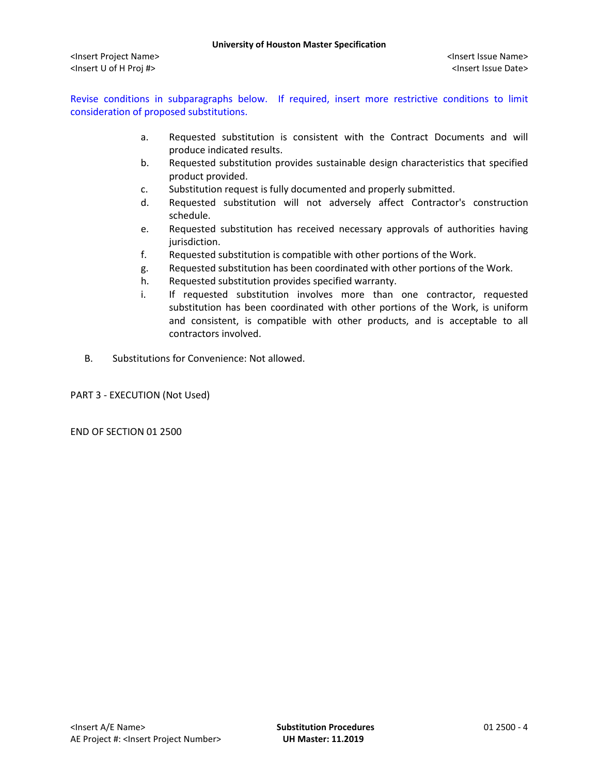Revise conditions in subparagraphs below. If required, insert more restrictive conditions to limit consideration of proposed substitutions.

- a. Requested substitution is consistent with the Contract Documents and will produce indicated results.
- b. Requested substitution provides sustainable design characteristics that specified product provided.
- c. Substitution request is fully documented and properly submitted.
- d. Requested substitution will not adversely affect Contractor's construction schedule.
- e. Requested substitution has received necessary approvals of authorities having jurisdiction.
- f. Requested substitution is compatible with other portions of the Work.
- g. Requested substitution has been coordinated with other portions of the Work.
- h. Requested substitution provides specified warranty.
- i. If requested substitution involves more than one contractor, requested substitution has been coordinated with other portions of the Work, is uniform and consistent, is compatible with other products, and is acceptable to all contractors involved.
- B. Substitutions for Convenience: Not allowed.

PART 3 - EXECUTION (Not Used)

END OF SECTION 01 2500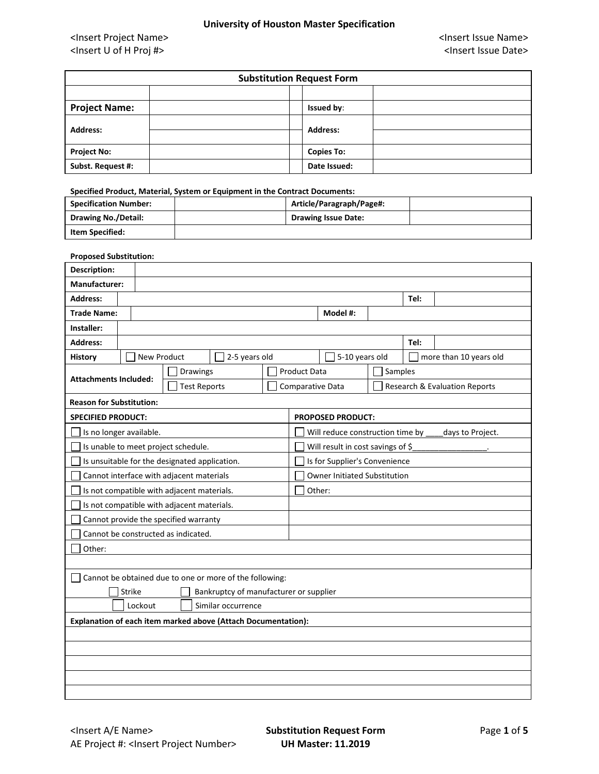| <b>Substitution Request Form</b> |                   |  |  |  |  |  |
|----------------------------------|-------------------|--|--|--|--|--|
|                                  |                   |  |  |  |  |  |
| <b>Project Name:</b>             | <b>Issued by:</b> |  |  |  |  |  |
| <b>Address:</b>                  | <b>Address:</b>   |  |  |  |  |  |
| <b>Project No:</b>               | <b>Copies To:</b> |  |  |  |  |  |
| Subst. Request #:                | Date Issued:      |  |  |  |  |  |

**Specified Product, Material, System or Equipment in the Contract Documents:**

| <b>Specification Number:</b> | Article/Paragraph/Page#:   |  |
|------------------------------|----------------------------|--|
| <b>Drawing No./Detail:</b>   | <b>Drawing Issue Date:</b> |  |
| Item Specified:              |                            |  |

#### **Proposed Substitution:**

| Description:                                                  |  |                                               |                     |  |                     |                                   |         |      |                                          |
|---------------------------------------------------------------|--|-----------------------------------------------|---------------------|--|---------------------|-----------------------------------|---------|------|------------------------------------------|
| Manufacturer:                                                 |  |                                               |                     |  |                     |                                   |         |      |                                          |
| <b>Address:</b>                                               |  | Tel:                                          |                     |  |                     |                                   |         |      |                                          |
| <b>Trade Name:</b>                                            |  |                                               |                     |  |                     | Model #:                          |         |      |                                          |
| Installer:                                                    |  |                                               |                     |  |                     |                                   |         |      |                                          |
| <b>Address:</b>                                               |  |                                               |                     |  |                     |                                   |         | Tel: |                                          |
| <b>History</b>                                                |  | New Product                                   | 2-5 years old       |  |                     | 5-10 years old                    |         |      | more than 10 years old                   |
| <b>Attachments Included:</b>                                  |  | <b>Drawings</b>                               |                     |  | <b>Product Data</b> |                                   | Samples |      |                                          |
|                                                               |  |                                               | <b>Test Reports</b> |  | Comparative Data    |                                   |         |      | <b>Research &amp; Evaluation Reports</b> |
| <b>Reason for Substitution:</b>                               |  |                                               |                     |  |                     |                                   |         |      |                                          |
| <b>SPECIFIED PRODUCT:</b>                                     |  |                                               |                     |  |                     | <b>PROPOSED PRODUCT:</b>          |         |      |                                          |
| Is no longer available.                                       |  |                                               |                     |  |                     | Will reduce construction time by  |         |      | days to Project.                         |
|                                                               |  | Is unable to meet project schedule.           |                     |  |                     | Will result in cost savings of \$ |         |      |                                          |
|                                                               |  | Is unsuitable for the designated application. |                     |  |                     | Is for Supplier's Convenience     |         |      |                                          |
|                                                               |  | Cannot interface with adjacent materials      |                     |  |                     | Owner Initiated Substitution      |         |      |                                          |
| Is not compatible with adjacent materials.<br>Other:          |  |                                               |                     |  |                     |                                   |         |      |                                          |
| Is not compatible with adjacent materials.                    |  |                                               |                     |  |                     |                                   |         |      |                                          |
|                                                               |  | Cannot provide the specified warranty         |                     |  |                     |                                   |         |      |                                          |
| Cannot be constructed as indicated.                           |  |                                               |                     |  |                     |                                   |         |      |                                          |
| Other:                                                        |  |                                               |                     |  |                     |                                   |         |      |                                          |
|                                                               |  |                                               |                     |  |                     |                                   |         |      |                                          |
| Cannot be obtained due to one or more of the following:       |  |                                               |                     |  |                     |                                   |         |      |                                          |
| Bankruptcy of manufacturer or supplier<br><b>Strike</b>       |  |                                               |                     |  |                     |                                   |         |      |                                          |
| Lockout<br>Similar occurrence                                 |  |                                               |                     |  |                     |                                   |         |      |                                          |
| Explanation of each item marked above (Attach Documentation): |  |                                               |                     |  |                     |                                   |         |      |                                          |
|                                                               |  |                                               |                     |  |                     |                                   |         |      |                                          |
|                                                               |  |                                               |                     |  |                     |                                   |         |      |                                          |
|                                                               |  |                                               |                     |  |                     |                                   |         |      |                                          |
|                                                               |  |                                               |                     |  |                     |                                   |         |      |                                          |
|                                                               |  |                                               |                     |  |                     |                                   |         |      |                                          |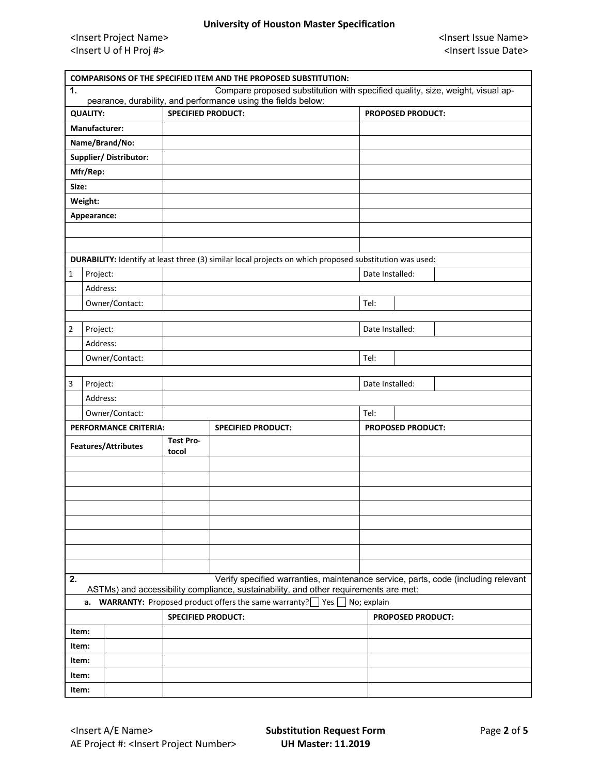| <b>COMPARISONS OF THE SPECIFIED ITEM AND THE PROPOSED SUBSTITUTION:</b>                                                                                         |                      |                       |                           |                                                                                                         |  |                          |                          |                                                                                   |
|-----------------------------------------------------------------------------------------------------------------------------------------------------------------|----------------------|-----------------------|---------------------------|---------------------------------------------------------------------------------------------------------|--|--------------------------|--------------------------|-----------------------------------------------------------------------------------|
| Compare proposed substitution with specified quality, size, weight, visual ap-<br>$\mathbf{1}$<br>pearance, durability, and performance using the fields below: |                      |                       |                           |                                                                                                         |  |                          |                          |                                                                                   |
|                                                                                                                                                                 | <b>QUALITY:</b>      |                       | <b>SPECIFIED PRODUCT:</b> |                                                                                                         |  | <b>PROPOSED PRODUCT:</b> |                          |                                                                                   |
|                                                                                                                                                                 | <b>Manufacturer:</b> |                       |                           |                                                                                                         |  |                          |                          |                                                                                   |
|                                                                                                                                                                 | Name/Brand/No:       |                       |                           |                                                                                                         |  |                          |                          |                                                                                   |
|                                                                                                                                                                 |                      | Supplier/Distributor: |                           |                                                                                                         |  |                          |                          |                                                                                   |
|                                                                                                                                                                 | Mfr/Rep:             |                       |                           |                                                                                                         |  |                          |                          |                                                                                   |
| Size:                                                                                                                                                           |                      |                       |                           |                                                                                                         |  |                          |                          |                                                                                   |
|                                                                                                                                                                 | Weight:              |                       |                           |                                                                                                         |  |                          |                          |                                                                                   |
|                                                                                                                                                                 | Appearance:          |                       |                           |                                                                                                         |  |                          |                          |                                                                                   |
|                                                                                                                                                                 |                      |                       |                           |                                                                                                         |  |                          |                          |                                                                                   |
|                                                                                                                                                                 |                      |                       |                           |                                                                                                         |  |                          |                          |                                                                                   |
|                                                                                                                                                                 |                      |                       |                           | DURABILITY: Identify at least three (3) similar local projects on which proposed substitution was used: |  |                          |                          |                                                                                   |
| $\mathbf{1}$                                                                                                                                                    | Project:             |                       |                           |                                                                                                         |  | Date Installed:          |                          |                                                                                   |
|                                                                                                                                                                 | Address:             |                       |                           |                                                                                                         |  |                          |                          |                                                                                   |
|                                                                                                                                                                 |                      | Owner/Contact:        |                           |                                                                                                         |  | Tel:                     |                          |                                                                                   |
|                                                                                                                                                                 |                      |                       |                           |                                                                                                         |  |                          |                          |                                                                                   |
| $\overline{2}$                                                                                                                                                  | Project:             |                       |                           |                                                                                                         |  | Date Installed:          |                          |                                                                                   |
|                                                                                                                                                                 | Address:             |                       |                           |                                                                                                         |  |                          |                          |                                                                                   |
|                                                                                                                                                                 |                      | Owner/Contact:        |                           |                                                                                                         |  | Tel:                     |                          |                                                                                   |
|                                                                                                                                                                 |                      |                       |                           |                                                                                                         |  |                          |                          |                                                                                   |
| 3                                                                                                                                                               | Project:             |                       |                           |                                                                                                         |  | Date Installed:          |                          |                                                                                   |
|                                                                                                                                                                 | Address:             |                       |                           |                                                                                                         |  |                          |                          |                                                                                   |
|                                                                                                                                                                 |                      | Owner/Contact:        |                           |                                                                                                         |  | Tel:                     |                          |                                                                                   |
| PERFORMANCE CRITERIA:                                                                                                                                           |                      |                       | <b>SPECIFIED PRODUCT:</b> |                                                                                                         |  | <b>PROPOSED PRODUCT:</b> |                          |                                                                                   |
|                                                                                                                                                                 |                      | Features/Attributes   | <b>Test Pro-</b><br>tocol |                                                                                                         |  |                          |                          |                                                                                   |
|                                                                                                                                                                 |                      |                       |                           |                                                                                                         |  |                          |                          |                                                                                   |
|                                                                                                                                                                 |                      |                       |                           |                                                                                                         |  |                          |                          |                                                                                   |
|                                                                                                                                                                 |                      |                       |                           |                                                                                                         |  |                          |                          |                                                                                   |
|                                                                                                                                                                 |                      |                       |                           |                                                                                                         |  |                          |                          |                                                                                   |
|                                                                                                                                                                 |                      |                       |                           |                                                                                                         |  |                          |                          |                                                                                   |
|                                                                                                                                                                 |                      |                       |                           |                                                                                                         |  |                          |                          |                                                                                   |
|                                                                                                                                                                 |                      |                       |                           |                                                                                                         |  |                          |                          |                                                                                   |
|                                                                                                                                                                 |                      |                       |                           |                                                                                                         |  |                          |                          |                                                                                   |
| 2.                                                                                                                                                              |                      |                       |                           | ASTMs) and accessibility compliance, sustainability, and other requirements are met:                    |  |                          |                          | Verify specified warranties, maintenance service, parts, code (including relevant |
|                                                                                                                                                                 |                      |                       |                           | <b>a.</b> WARRANTY: Proposed product offers the same warranty? $\Box$ Yes $\Box$ No; explain            |  |                          |                          |                                                                                   |
|                                                                                                                                                                 |                      |                       | <b>SPECIFIED PRODUCT:</b> |                                                                                                         |  |                          | <b>PROPOSED PRODUCT:</b> |                                                                                   |
|                                                                                                                                                                 | Item:                |                       |                           |                                                                                                         |  |                          |                          |                                                                                   |
|                                                                                                                                                                 | Item:                |                       |                           |                                                                                                         |  |                          |                          |                                                                                   |
|                                                                                                                                                                 | Item:                |                       |                           |                                                                                                         |  |                          |                          |                                                                                   |
|                                                                                                                                                                 | Item:                |                       |                           |                                                                                                         |  |                          |                          |                                                                                   |
|                                                                                                                                                                 | Item:                |                       |                           |                                                                                                         |  |                          |                          |                                                                                   |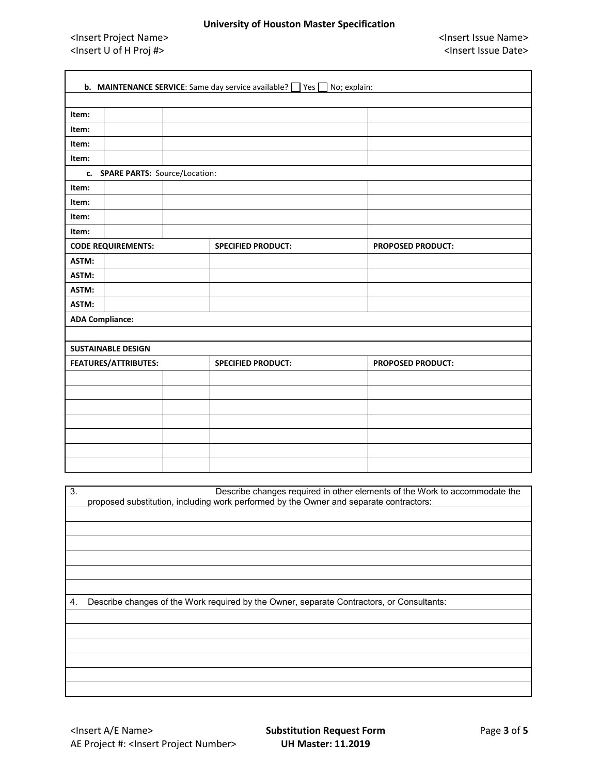### **University of Houston Master Specification**

<Insert Project Name> <Insert Issue Name> <Insert U of H Proj #> <Insert Issue Date>

ī

| <b>b.</b> MAINTENANCE SERVICE: Same day service available? $\Box$ Yes $\Box$ No; explain:                                                                                  |                                  |  |                           |                          |  |  |  |  |
|----------------------------------------------------------------------------------------------------------------------------------------------------------------------------|----------------------------------|--|---------------------------|--------------------------|--|--|--|--|
|                                                                                                                                                                            |                                  |  |                           |                          |  |  |  |  |
| Item:                                                                                                                                                                      |                                  |  |                           |                          |  |  |  |  |
| Item:                                                                                                                                                                      |                                  |  |                           |                          |  |  |  |  |
| Item:                                                                                                                                                                      |                                  |  |                           |                          |  |  |  |  |
| Item:                                                                                                                                                                      |                                  |  |                           |                          |  |  |  |  |
|                                                                                                                                                                            | c. SPARE PARTS: Source/Location: |  |                           |                          |  |  |  |  |
| Item:                                                                                                                                                                      |                                  |  |                           |                          |  |  |  |  |
| Item:                                                                                                                                                                      |                                  |  |                           |                          |  |  |  |  |
| Item:                                                                                                                                                                      |                                  |  |                           |                          |  |  |  |  |
| Item:                                                                                                                                                                      |                                  |  |                           |                          |  |  |  |  |
|                                                                                                                                                                            | <b>CODE REQUIREMENTS:</b>        |  | <b>SPECIFIED PRODUCT:</b> | <b>PROPOSED PRODUCT:</b> |  |  |  |  |
| ASTM:                                                                                                                                                                      |                                  |  |                           |                          |  |  |  |  |
| ASTM:                                                                                                                                                                      |                                  |  |                           |                          |  |  |  |  |
| ASTM:                                                                                                                                                                      |                                  |  |                           |                          |  |  |  |  |
| ASTM:                                                                                                                                                                      |                                  |  |                           |                          |  |  |  |  |
| <b>ADA Compliance:</b>                                                                                                                                                     |                                  |  |                           |                          |  |  |  |  |
|                                                                                                                                                                            |                                  |  |                           |                          |  |  |  |  |
|                                                                                                                                                                            | <b>SUSTAINABLE DESIGN</b>        |  |                           |                          |  |  |  |  |
|                                                                                                                                                                            | FEATURES/ATTRIBUTES:             |  | <b>SPECIFIED PRODUCT:</b> | <b>PROPOSED PRODUCT:</b> |  |  |  |  |
|                                                                                                                                                                            |                                  |  |                           |                          |  |  |  |  |
|                                                                                                                                                                            |                                  |  |                           |                          |  |  |  |  |
|                                                                                                                                                                            |                                  |  |                           |                          |  |  |  |  |
|                                                                                                                                                                            |                                  |  |                           |                          |  |  |  |  |
|                                                                                                                                                                            |                                  |  |                           |                          |  |  |  |  |
|                                                                                                                                                                            |                                  |  |                           |                          |  |  |  |  |
|                                                                                                                                                                            |                                  |  |                           |                          |  |  |  |  |
|                                                                                                                                                                            |                                  |  |                           |                          |  |  |  |  |
| Describe changes required in other elements of the Work to accommodate the<br>3.<br>proposed substitution, including work performed by the Owner and separate contractors: |                                  |  |                           |                          |  |  |  |  |
|                                                                                                                                                                            |                                  |  |                           |                          |  |  |  |  |
|                                                                                                                                                                            |                                  |  |                           |                          |  |  |  |  |
|                                                                                                                                                                            |                                  |  |                           |                          |  |  |  |  |
|                                                                                                                                                                            |                                  |  |                           |                          |  |  |  |  |
|                                                                                                                                                                            |                                  |  |                           |                          |  |  |  |  |
|                                                                                                                                                                            |                                  |  |                           |                          |  |  |  |  |
| Describe changes of the Work required by the Owner, separate Contractors, or Consultants:<br>4.                                                                            |                                  |  |                           |                          |  |  |  |  |
|                                                                                                                                                                            |                                  |  |                           |                          |  |  |  |  |
|                                                                                                                                                                            |                                  |  |                           |                          |  |  |  |  |
|                                                                                                                                                                            |                                  |  |                           |                          |  |  |  |  |
|                                                                                                                                                                            |                                  |  |                           |                          |  |  |  |  |
|                                                                                                                                                                            |                                  |  |                           |                          |  |  |  |  |
|                                                                                                                                                                            |                                  |  |                           |                          |  |  |  |  |
|                                                                                                                                                                            |                                  |  |                           |                          |  |  |  |  |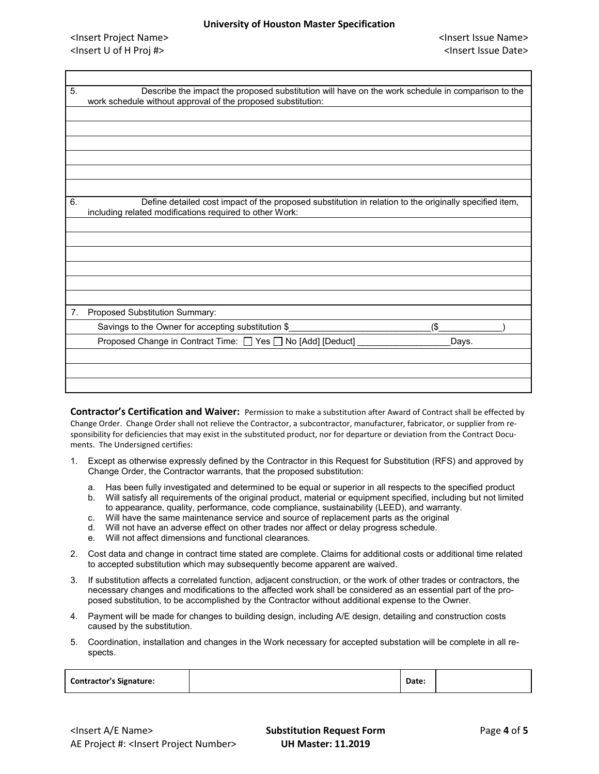| 5.<br>Describe the impact the proposed substitution will have on the work schedule in comparison to the<br>work schedule without approval of the proposed substitution:<br>Define detailed cost impact of the proposed substitution in relation to the originally specified item,<br>6.<br>including related modifications required to other Work:<br>7.<br>Proposed Substitution Summary:<br>Savings to the Owner for accepting substitution \$<br>(\$<br>Proposed Change in Contract Time: □ Yes □ No [Add] [Deduct]<br>Days. |  |  |
|---------------------------------------------------------------------------------------------------------------------------------------------------------------------------------------------------------------------------------------------------------------------------------------------------------------------------------------------------------------------------------------------------------------------------------------------------------------------------------------------------------------------------------|--|--|
|                                                                                                                                                                                                                                                                                                                                                                                                                                                                                                                                 |  |  |
|                                                                                                                                                                                                                                                                                                                                                                                                                                                                                                                                 |  |  |
|                                                                                                                                                                                                                                                                                                                                                                                                                                                                                                                                 |  |  |
|                                                                                                                                                                                                                                                                                                                                                                                                                                                                                                                                 |  |  |
|                                                                                                                                                                                                                                                                                                                                                                                                                                                                                                                                 |  |  |
|                                                                                                                                                                                                                                                                                                                                                                                                                                                                                                                                 |  |  |
|                                                                                                                                                                                                                                                                                                                                                                                                                                                                                                                                 |  |  |
|                                                                                                                                                                                                                                                                                                                                                                                                                                                                                                                                 |  |  |
|                                                                                                                                                                                                                                                                                                                                                                                                                                                                                                                                 |  |  |
|                                                                                                                                                                                                                                                                                                                                                                                                                                                                                                                                 |  |  |
|                                                                                                                                                                                                                                                                                                                                                                                                                                                                                                                                 |  |  |
|                                                                                                                                                                                                                                                                                                                                                                                                                                                                                                                                 |  |  |
|                                                                                                                                                                                                                                                                                                                                                                                                                                                                                                                                 |  |  |
|                                                                                                                                                                                                                                                                                                                                                                                                                                                                                                                                 |  |  |
|                                                                                                                                                                                                                                                                                                                                                                                                                                                                                                                                 |  |  |
|                                                                                                                                                                                                                                                                                                                                                                                                                                                                                                                                 |  |  |
|                                                                                                                                                                                                                                                                                                                                                                                                                                                                                                                                 |  |  |
|                                                                                                                                                                                                                                                                                                                                                                                                                                                                                                                                 |  |  |
|                                                                                                                                                                                                                                                                                                                                                                                                                                                                                                                                 |  |  |
|                                                                                                                                                                                                                                                                                                                                                                                                                                                                                                                                 |  |  |

**Contractor's Certification and Waiver:** Permission to make a substitution after Award of Contract shall be effected by Change Order. Change Order shall not relieve the Contractor, a subcontractor, manufacturer, fabricator, or supplier from responsibility for deficiencies that may exist in the substituted product, nor for departure or deviation from the Contract Documents. The Undersigned certifies:

- 1. Except as otherwise expressly defined by the Contractor in this Request for Substitution (RFS) and approved by Change Order, the Contractor warrants, that the proposed substitution:
	- a. Has been fully investigated and determined to be equal or superior in all respects to the specified product
	- b. Will satisfy all requirements of the original product, material or equipment specified, including but not limited to appearance, quality, performance, code compliance, sustainability (LEED), and warranty.
	- c. Will have the same maintenance service and source of replacement parts as the original
	- d. Will not have an adverse effect on other trades nor affect or delay progress schedule.
	- e. Will not affect dimensions and functional clearances.
- 2. Cost data and change in contract time stated are complete. Claims for additional costs or additional time related to accepted substitution which may subsequently become apparent are waived.
- 3. If substitution affects a correlated function, adjacent construction, or the work of other trades or contractors, the necessary changes and modifications to the affected work shall be considered as an essential part of the proposed substitution, to be accomplished by the Contractor without additional expense to the Owner.
- 4. Payment will be made for changes to building design, including A/E design, detailing and construction costs caused by the substitution.
- 5. Coordination, installation and changes in the Work necessary for accepted substation will be complete in all respects.